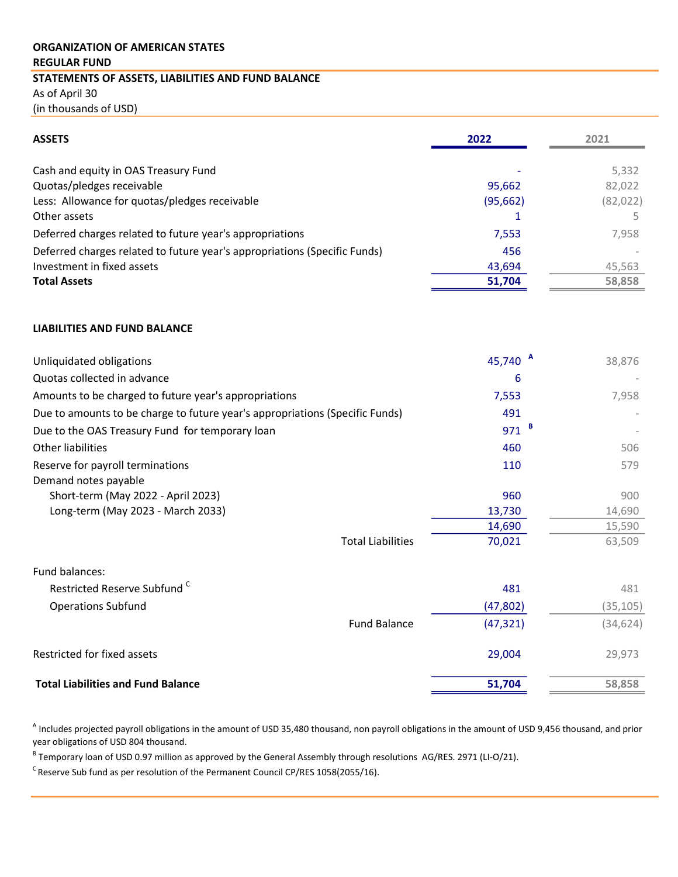## REGULAR FUND ORGANIZATION OF AMERICAN STATES STATEMENTS OF ASSETS, LIABILITIES AND FUND BALANCE As of April 30 (in thousands of USD)

| <b>ASSETS</b>                                                             | 2022      | 2021      |
|---------------------------------------------------------------------------|-----------|-----------|
| Cash and equity in OAS Treasury Fund                                      |           | 5,332     |
| Quotas/pledges receivable                                                 | 95,662    | 82,022    |
| Less: Allowance for quotas/pledges receivable                             | (95, 662) | (82, 022) |
| Other assets                                                              |           |           |
| Deferred charges related to future year's appropriations                  | 7,553     | 7,958     |
| Deferred charges related to future year's appropriations (Specific Funds) | 456       |           |
| Investment in fixed assets                                                | 43,694    | 45,563    |
| <b>Total Assets</b>                                                       | 51,704    | 58,858    |

## LIABILITIES AND FUND BALANCE

| Unliquidated obligations                                                     | 45,740 $^{A}$      | 38,876 |
|------------------------------------------------------------------------------|--------------------|--------|
| Quotas collected in advance                                                  | 6                  |        |
| Amounts to be charged to future year's appropriations                        | 7,553              | 7.958  |
| Due to amounts to be charge to future year's appropriations (Specific Funds) | 491                |        |
| Due to the OAS Treasury Fund for temporary loan                              | $971$ <sup>B</sup> |        |
| Other liabilities                                                            | 460                | 506    |
| Reserve for payroll terminations                                             | 110                | 579    |
| Demand notes payable                                                         |                    |        |
| Short-term (May 2022 - April 2023)                                           | 960                | 900    |
| Long-term (May 2023 - March 2033)                                            | 13,730             | 14,690 |
|                                                                              | 14,690             | 15,590 |
| <b>Total Liabilities</b>                                                     | 70.021             | 63,509 |

| Fund balances:                            |                     |           |           |
|-------------------------------------------|---------------------|-----------|-----------|
| Restricted Reserve Subfund <sup>C</sup>   |                     | 481       | 481       |
| <b>Operations Subfund</b>                 |                     | (47, 802) | (35, 105) |
|                                           | <b>Fund Balance</b> | (47, 321) | (34, 624) |
| Restricted for fixed assets               |                     | 29.004    | 29,973    |
| <b>Total Liabilities and Fund Balance</b> |                     | 51,704    | 58,858    |

<sup>A</sup> Includes projected payroll obligations in the amount of USD 35,480 thousand, non payroll obligations in the amount of USD 9,456 thousand, and prior year obligations of USD 804 thousand.

<sup>B</sup> Temporary loan of USD 0.97 million as approved by the General Assembly through resolutions AG/RES. 2971 (LI-O/21).

 $\text{c}$  Reserve Sub fund as per resolution of the Permanent Council CP/RES 1058(2055/16).